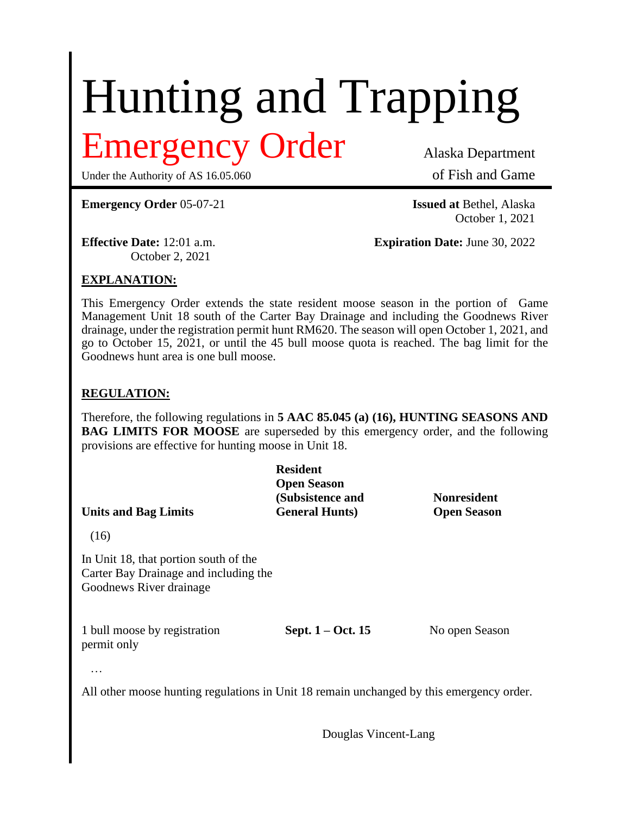# Hunting and Trapping

## mergency Order Alaska Department

Under the Authority of AS 16.05.060 of Fish and Game

**Emergency Order** 05-07-21 **Issued at** Bethel, Alaska

October 1, 2021

October 2, 2021

**Effective Date:** 12:01 a.m. **Expiration Date:** June 30, 2022

### **EXPLANATION:**

This Emergency Order extends the state resident moose season in the portion of Game Management Unit 18 south of the Carter Bay Drainage and including the Goodnews River drainage, under the registration permit hunt RM620. The season will open October 1, 2021, and go to October 15, 2021, or until the 45 bull moose quota is reached. The bag limit for the Goodnews hunt area is one bull moose.

#### **REGULATION:**

Therefore, the following regulations in **5 AAC 85.045 (a) (16), HUNTING SEASONS AND BAG LIMITS FOR MOOSE** are superseded by this emergency order, and the following provisions are effective for hunting moose in Unit 18.

|                             | <b>Resident</b>        |                    |
|-----------------------------|------------------------|--------------------|
|                             | <b>Open Season</b>     |                    |
|                             | (Subsistence and       | <b>Nonresident</b> |
| <b>Units and Bag Limits</b> | <b>General Hunts</b> ) | <b>Open Season</b> |
| (16)                        |                        |                    |

In Unit 18, that portion south of the Carter Bay Drainage and including the Goodnews River drainage

1 bull moose by registration<br>
Sept. 1 – Oct. 15 No open Season permit only

…

All other moose hunting regulations in Unit 18 remain unchanged by this emergency order.

Douglas Vincent-Lang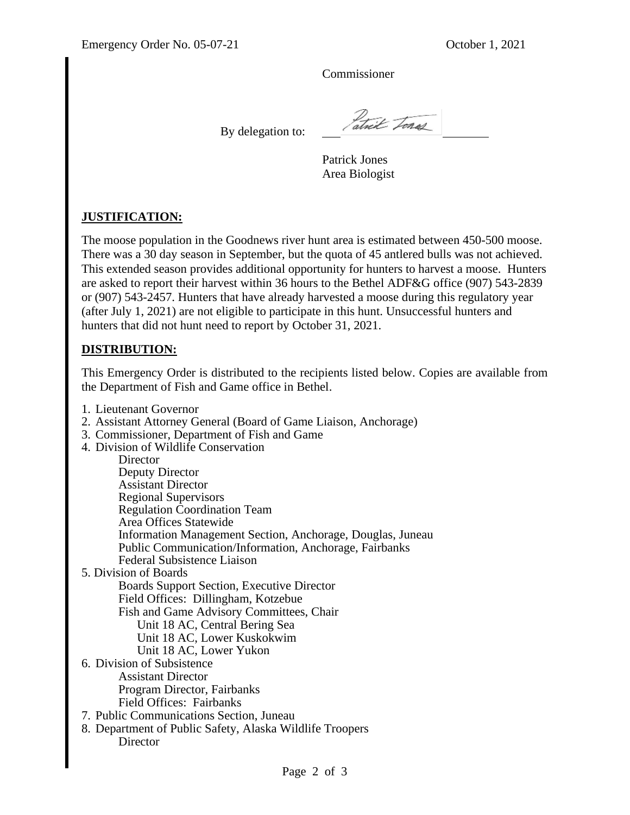Commissioner

By delegation to:

atrik Tones

Patrick Jones Area Biologist

#### **JUSTIFICATION:**

The moose population in the Goodnews river hunt area is estimated between 450-500 moose. There was a 30 day season in September, but the quota of 45 antlered bulls was not achieved. This extended season provides additional opportunity for hunters to harvest a moose. Hunters are asked to report their harvest within 36 hours to the Bethel ADF&G office (907) 543-2839 or (907) 543-2457. Hunters that have already harvested a moose during this regulatory year (after July 1, 2021) are not eligible to participate in this hunt. Unsuccessful hunters and hunters that did not hunt need to report by October 31, 2021.

#### **DISTRIBUTION:**

This Emergency Order is distributed to the recipients listed below. Copies are available from the Department of Fish and Game office in Bethel.

- 1. Lieutenant Governor
- 2. Assistant Attorney General (Board of Game Liaison, Anchorage)
- 3. Commissioner, Department of Fish and Game
- 4. Division of Wildlife Conservation

| Director                                                      |
|---------------------------------------------------------------|
| Deputy Director                                               |
| <b>Assistant Director</b>                                     |
| <b>Regional Supervisors</b>                                   |
| <b>Regulation Coordination Team</b>                           |
| Area Offices Statewide                                        |
| Information Management Section, Anchorage, Douglas, Juneau    |
| <b>Public Communication/Information, Anchorage, Fairbanks</b> |
| Federal Subsistence Liaison                                   |
| 5. Division of Boards                                         |
| <b>Boards Support Section, Executive Director</b>             |
| Field Offices: Dillingham, Kotzebue                           |
| Fish and Game Advisory Committees, Chair                      |
| Unit 18 AC, Central Bering Sea                                |
| Unit 18 AC, Lower Kuskokwim                                   |
| Unit 18 AC, Lower Yukon                                       |
| 6. Division of Subsistence                                    |
| <b>Assistant Director</b>                                     |
| Program Director, Fairbanks                                   |
| Field Offices: Fairbanks                                      |
| 7. Public Communications Section, Juneau                      |
| 8. Department of Public Safety, Alaska Wildlife Troopers      |
| Director                                                      |